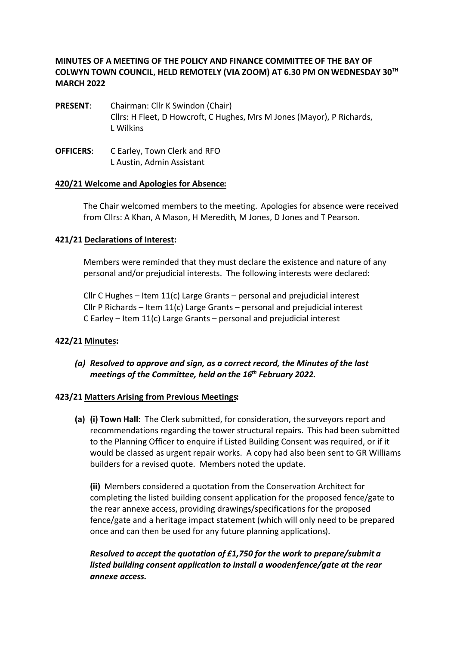## **MINUTES OF A MEETING OF THE POLICY AND FINANCE COMMITTEE OF THE BAY OF COLWYN TOWN COUNCIL, HELD REMOTELY (VIA ZOOM) AT 6.30 PM ON WEDNESDAY 30TH MARCH 2022**

- **PRESENT**: Chairman: Cllr K Swindon (Chair) Cllrs: H Fleet, D Howcroft, C Hughes, Mrs M Jones (Mayor), P Richards, L Wilkins
- **OFFICERS**: C Earley, Town Clerk and RFO L Austin, Admin Assistant

#### **420/21 Welcome and Apologies for Absence:**

The Chair welcomed members to the meeting. Apologies for absence were received from Cllrs: A Khan, A Mason, H Meredith, M Jones, D Jones and T Pearson.

#### **421/21 Declarations of Interest:**

Members were reminded that they must declare the existence and nature of any personal and/or prejudicial interests. The following interests were declared:

Cllr C Hughes – Item 11(c) Large Grants – personal and prejudicial interest Cllr P Richards – Item 11(c) Large Grants – personal and prejudicial interest C Earley – Item 11(c) Large Grants – personal and prejudicial interest

#### **422/21 Minutes:**

*(a) Resolved to approve and sign, as a correct record, the Minutes of the last meetings of the Committee, held on the 16th February 2022.* 

#### **423/21 Matters Arising from Previous Meetings:**

**(a) (i) Town Hall**: The Clerk submitted, for consideration, the surveyors report and recommendations regarding the tower structural repairs. This had been submitted to the Planning Officer to enquire if Listed Building Consent was required, or if it would be classed as urgent repair works. A copy had also been sent to GR Williams builders for a revised quote. Members noted the update.

**(ii)** Members considered a quotation from the Conservation Architect for completing the listed building consent application for the proposed fence/gate to the rear annexe access, providing drawings/specifications for the proposed fence/gate and a heritage impact statement (which will only need to be prepared once and can then be used for any future planning applications).

*Resolved to accept the quotation of £1,750 for the work to prepare/submit a listed building consent application to install a wooden fence/gate at the rear annexe access.*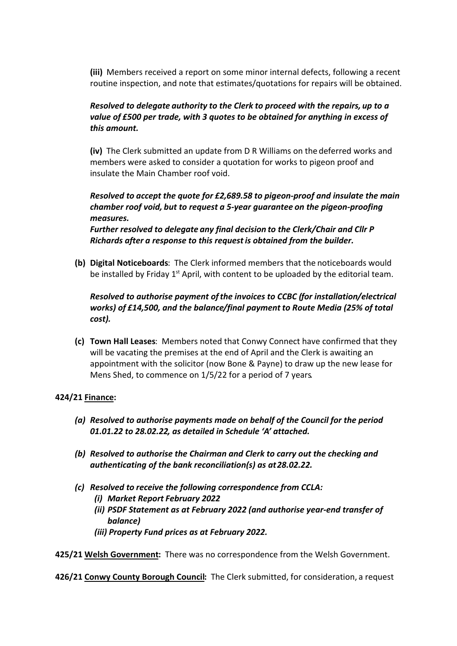**(iii)** Members received a report on some minor internal defects, following a recent routine inspection, and note that estimates/quotations for repairs will be obtained.

# *Resolved to delegate authority to the Clerk to proceed with the repairs, up to a value of £500 per trade, with 3 quotes to be obtained for anything in excess of this amount.*

**(iv)** The Clerk submitted an update from D R Williams on the deferred works and members were asked to consider a quotation for works to pigeon proof and insulate the Main Chamber roof void.

*Resolved to accept the quote for £2,689.58 to pigeon-proof and insulate the main chamber roof void, but to request a 5-year guarantee on the pigeon-proofing measures.*

*Further resolved to delegate any final decision to the Clerk/Chair and Cllr P Richards after a response to this request is obtained from the builder.*

**(b) Digital Noticeboards**: The Clerk informed members that the noticeboards would be installed by Friday  $1<sup>st</sup>$  April, with content to be uploaded by the editorial team.

*Resolved to authorise payment of the invoices to CCBC (for installation/electrical works) of £14,500, and the balance/final payment to Route Media (25% of total cost).*

**(c) Town Hall Leases**: Members noted that Conwy Connect have confirmed that they will be vacating the premises at the end of April and the Clerk is awaiting an appointment with the solicitor (now Bone & Payne) to draw up the new lease for Mens Shed, to commence on 1/5/22 for a period of 7 years*.*

## **424/21 Finance:**

- *(a) Resolved to authorise payments made on behalf of the Council for the period 01.01.22 to 28.02.22, as detailed in Schedule 'A' attached.*
- *(b) Resolved to authorise the Chairman and Clerk to carry out the checking and authenticating of the bank reconciliation(s) as at 28.02.22.*
- *(c) Resolved to receive the following correspondence from CCLA:*
	- *(i) Market Report February 2022*
	- *(ii) PSDF Statement as at February 2022 (and authorise year-end transfer of balance)*
	- *(iii) Property Fund prices as at February 2022.*

**425/21 Welsh Government:** There was no correspondence from the Welsh Government.

**426/21 Conwy County Borough Council:** The Clerk submitted, for consideration, a request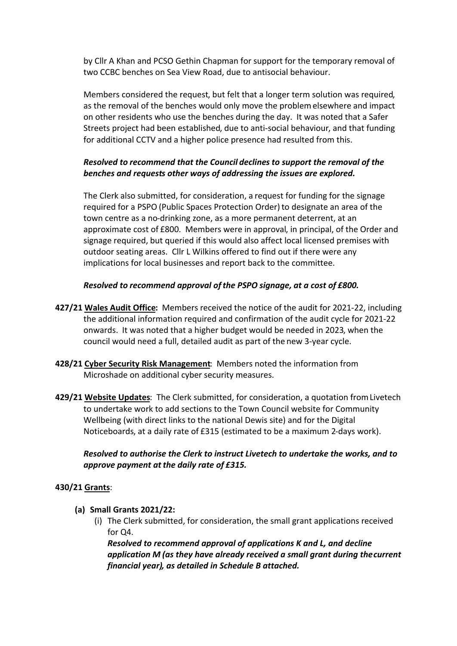by Cllr A Khan and PCSO Gethin Chapman for support for the temporary removal of two CCBC benches on Sea View Road, due to antisocial behaviour.

Members considered the request, but felt that a longer term solution was required, as the removal of the benches would only move the problem elsewhere and impact on other residents who use the benches during the day. It was noted that a Safer Streets project had been established, due to anti-social behaviour, and that funding for additional CCTV and a higher police presence had resulted from this.

# *Resolved to recommend that the Council declines to support the removal of the benches and requests other ways of addressing the issues are explored.*

The Clerk also submitted, for consideration, a request for funding for the signage required for a PSPO (Public Spaces Protection Order) to designate an area of the town centre as a no-drinking zone, as a more permanent deterrent, at an approximate cost of £800. Members were in approval, in principal, of the Order and signage required, but queried if this would also affect local licensed premises with outdoor seating areas. Cllr L Wilkins offered to find out if there were any implications for local businesses and report back to the committee.

## *Resolved to recommend approval of the PSPO signage, at a cost of £800.*

- **427/21 Wales Audit Office:** Members received the notice of the audit for 2021-22, including the additional information required and confirmation of the audit cycle for 2021-22 onwards. It was noted that a higher budget would be needed in 2023, when the council would need a full, detailed audit as part of the new 3-year cycle.
- **428/21 Cyber Security Risk Management**: Members noted the information from Microshade on additional cyber security measures.
- **429/21 Website Updates**: The Clerk submitted, for consideration, a quotation from Livetech to undertake work to add sections to the Town Council website for Community Wellbeing (with direct links to the national Dewis site) and for the Digital Noticeboards, at a daily rate of £315 (estimated to be a maximum 2-days work).

## *Resolved to authorise the Clerk to instruct Livetech to undertake the works, and to approve payment at the daily rate of £315.*

## **430/21 Grants**:

- **(a) Small Grants 2021/22:**
	- (i) The Clerk submitted, for consideration, the small grant applications received for Q4.

*Resolved to recommend approval of applications K and L, and decline application M (as they have already received a small grant during the current financial year), as detailed in Schedule B attached.*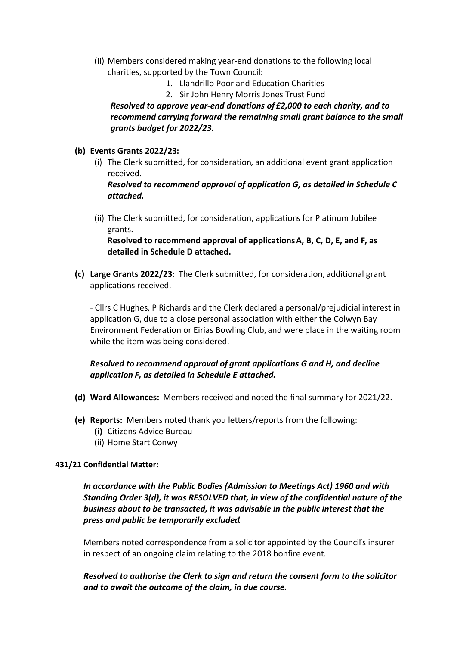- (ii) Members considered making year-end donations to the following local charities, supported by the Town Council:
	- 1. Llandrillo Poor and Education Charities
	- 2. Sir John Henry Morris Jones Trust Fund

*Resolved to approve year-end donations of £2,000 to each charity, and to recommend carrying forward the remaining small grant balance to the small grants budget for 2022/23.*

- **(b) Events Grants 2022/23:**
	- (i) The Clerk submitted, for consideration, an additional event grant application received.

*Resolved to recommend approval of application G, as detailed in Schedule C attached.*

(ii) The Clerk submitted, for consideration, applications for Platinum Jubilee grants.

**Resolved to recommend approval of applications A, B, C, D, E, and F, as detailed in Schedule D attached.** 

**(c) Large Grants 2022/23:** The Clerk submitted, for consideration, additional grant applications received.

- Cllrs C Hughes, P Richards and the Clerk declared a personal/prejudicial interest in application G, due to a close personal association with either the Colwyn Bay Environment Federation or Eirias Bowling Club, and were place in the waiting room while the item was being considered.

# *Resolved to recommend approval of grant applications G and H, and decline application F, as detailed in Schedule E attached.*

- **(d) Ward Allowances:** Members received and noted the final summary for 2021/22.
- **(e) Reports:** Members noted thank you letters/reports from the following:
	- **(i)** Citizens Advice Bureau
	- (ii) Home Start Conwy

## **431/21 Confidential Matter:**

*In accordance with the Public Bodies (Admission to Meetings Act) 1960 and with Standing Order 3(d), it was RESOLVED that, in view of the confidential nature of the business about to be transacted, it was advisable in the public interest that the press and public be temporarily excluded.*

Members noted correspondence from a solicitor appointed by the Council's insurer in respect of an ongoing claim relating to the 2018 bonfire event.

*Resolved to authorise the Clerk to sign and return the consent form to the solicitor and to await the outcome of the claim, in due course.*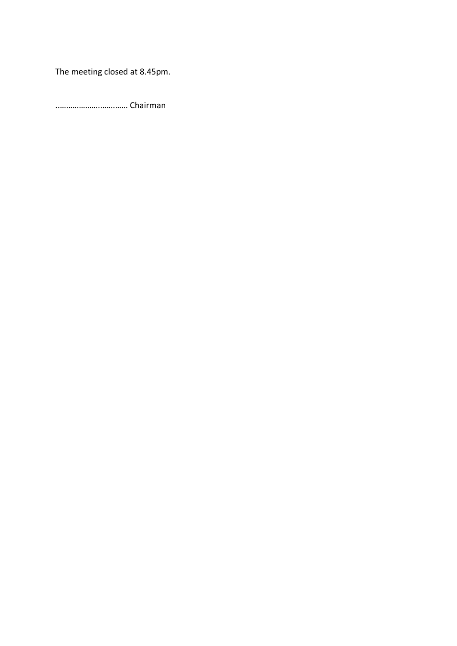The meeting closed at 8.45pm.

..……………….…….…… Chairman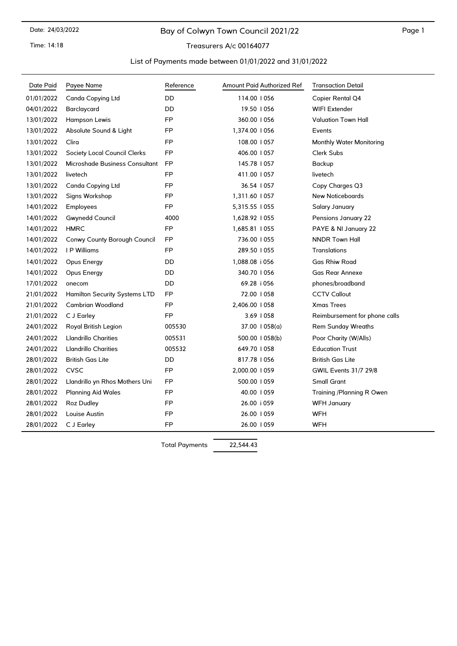Time: 14:18

# Bay of Colwyn Town Council 2021/22

Treasurers A/c 00164077

#### List of Payments made between 01/01/2022 and 31/01/2022

| Date Paid  | Payee Name                           | Reference | Amount Paid Authorized Ref | <b>Transaction Detail</b>       |
|------------|--------------------------------------|-----------|----------------------------|---------------------------------|
| 01/01/2022 | Canda Copying Ltd                    | DD        | 114.00   056               | Copier Rental Q4                |
| 04/01/2022 | Barclaycard                          | DD        | 19.50   056                | <b>WIFI Extender</b>            |
| 13/01/2022 | Hampson Lewis                        | <b>FP</b> | 360.00   056               | <b>Valuation Town Hall</b>      |
| 13/01/2022 | Absolute Sound & Light               | FP        | 1,374.00   056             | Events                          |
| 13/01/2022 | Clira                                | <b>FP</b> | 108.00   057               | <b>Monthly Water Monitoring</b> |
| 13/01/2022 | Society Local Council Clerks         | <b>FP</b> | 406.00   057               | Clerk Subs                      |
| 13/01/2022 | Microshade Business Consultant       | FP        | 145.78   057               | Backup                          |
| 13/01/2022 | livetech                             | FP        | 411.00   057               | livetech                        |
| 13/01/2022 | Canda Copying Ltd                    | <b>FP</b> | 36.54   057                | Copy Charges Q3                 |
| 13/01/2022 | Signs Workshop                       | FP        | 1,311.60   057             | <b>New Noticeboards</b>         |
| 14/01/2022 | Employees                            | <b>FP</b> | 5,315.55   055             | Salary January                  |
| 14/01/2022 | <b>Gwynedd Council</b>               | 4000      | 1,628.92   055             | Pensions January 22             |
| 14/01/2022 | <b>HMRC</b>                          | FP        | 1,685.81   055             | PAYE & NI January 22            |
| 14/01/2022 | Conwy County Borough Council         | FP        | 736.00   055               | <b>NNDR Town Hall</b>           |
| 14/01/2022 | I P Williams                         | <b>FP</b> | 289.50   055               | <b>Translations</b>             |
| 14/01/2022 | Opus Energy                          | DD        | 1,088.08 i 056             | Gas Rhiw Road                   |
| 14/01/2022 | Opus Energy                          | DD        | 340.70   056               | <b>Gas Rear Annexe</b>          |
| 17/01/2022 | onecom                               | DD        | 69.28 i 056                | phones/broadband                |
| 21/01/2022 | <b>Hamilton Security Systems LTD</b> | <b>FP</b> | 72.00   058                | <b>CCTV Callout</b>             |
| 21/01/2022 | Cambrian Woodland                    | <b>FP</b> | 2,406.00   058             | <b>Xmas Trees</b>               |
| 21/01/2022 | C J Earley                           | FP        | 3.69   058                 | Reimbursement for phone calls   |
| 24/01/2022 | Royal British Legion                 | 005530    | $37.00$ $1058(a)$          | <b>Rem Sunday Wreaths</b>       |
| 24/01/2022 | <b>Llandrillo Charities</b>          | 005531    | 500.00   058(b)            | Poor Charity (W/Alls)           |
| 24/01/2022 | <b>Llandrillo Charities</b>          | 005532    | 649.70   058               | <b>Education Trust</b>          |
| 28/01/2022 | <b>British Gas Lite</b>              | DD        | 817.78   056               | <b>British Gas Lite</b>         |
| 28/01/2022 | <b>CVSC</b>                          | FP        | 2,000.00   059             | <b>GWIL Events 31/7 29/8</b>    |
| 28/01/2022 | Llandrillo yn Rhos Mothers Uni       | <b>FP</b> | 500.00   059               | <b>Small Grant</b>              |
| 28/01/2022 | <b>Planning Aid Wales</b>            | FP        | 40.00   059                | Training /Planning R Owen       |
| 28/01/2022 | Roz Dudley                           | FP        | 26.00 i 059                | <b>WFH January</b>              |
| 28/01/2022 | Louise Austin                        | FP        | 26.00   059                | WFH                             |
| 28/01/2022 | C J Earley                           | <b>FP</b> | 26.00   059                | <b>WFH</b>                      |

Total Payments 22,544.43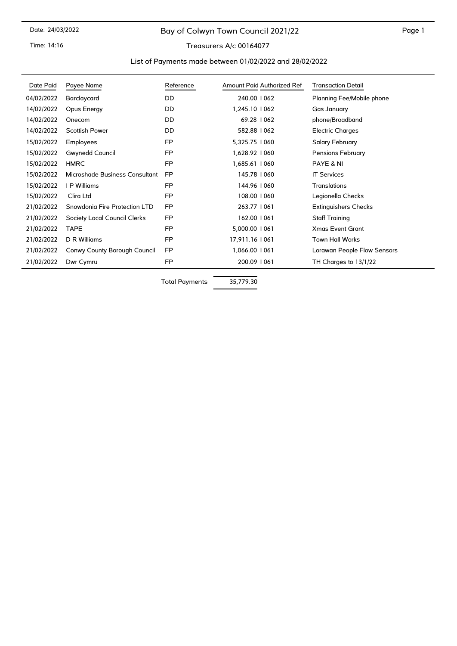# Bay of Colwyn Town Council 2021/22

Time: 14:16

# Treasurers A/c 00164077

#### List of Payments made between 01/02/2022 and 28/02/2022

| Date Paid  | Payee Name                     | Reference | Amount Paid Authorized Ref | <b>Transaction Detail</b>   |
|------------|--------------------------------|-----------|----------------------------|-----------------------------|
| 04/02/2022 | Barclaycard                    | <b>DD</b> | 240.00   062               | Planning Fee/Mobile phone   |
| 14/02/2022 | Opus Energy                    | DD        | 1,245.10   062             | Gas January                 |
| 14/02/2022 | Onecom                         | DD        | 69.28 1062                 | phone/Broadband             |
| 14/02/2022 | <b>Scottish Power</b>          | DD        | 582.88   062               | <b>Electric Charges</b>     |
| 15/02/2022 | Employees                      | <b>FP</b> | 5,325.75   060             | Salary February             |
| 15/02/2022 | Gwynedd Council                | FP        | 1,628.92   060             | Pensions February           |
| 15/02/2022 | <b>HMRC</b>                    | FP        | 1,685.61   060             | PAYE & NI                   |
| 15/02/2022 | Microshade Business Consultant | <b>FP</b> | 145.78   060               | <b>IT Services</b>          |
| 15/02/2022 | I P Williams                   | FP        | 144.96   060               | <b>Translations</b>         |
| 15/02/2022 | Clira Ltd                      | FP        | 108.00   060               | Legionella Checks           |
| 21/02/2022 | Snowdonia Fire Protection LTD  | <b>FP</b> | 263.77   061               | <b>Extinguishers Checks</b> |
| 21/02/2022 | Society Local Council Clerks   | <b>FP</b> | 162.00   061               | <b>Staff Training</b>       |
| 21/02/2022 | <b>TAPE</b>                    | FP        | 5,000.00   061             | <b>Xmas Event Grant</b>     |
| 21/02/2022 | D R Williams                   | FP        | 17,911.16   061            | <b>Town Hall Works</b>      |
| 21/02/2022 | Conwy County Borough Council   | <b>FP</b> | 1,066.00   061             | Lorawan People Flow Sensors |
| 21/02/2022 | Dwr Cymru                      | FP        | 200.09   061               | TH Charges to 13/1/22       |

Total Payments 35,779.30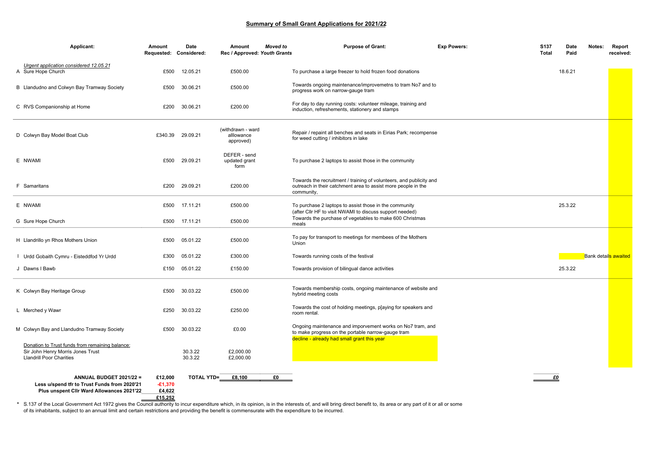#### **Summary of Small Grant Applications for 2021/22**

| Applicant:                                                                                                              | Amount<br>Requested: Considered:          | Date               | Amount<br>Rec / Approved: Youth Grants       | <b>Moved</b> to | <b>Purpose of Grant:</b>                                                                                                                                        | <b>Exp Powers:</b> | S <sub>137</sub><br><b>Total</b> | Date<br>Paid | Notes: | Report<br>received:         |
|-------------------------------------------------------------------------------------------------------------------------|-------------------------------------------|--------------------|----------------------------------------------|-----------------|-----------------------------------------------------------------------------------------------------------------------------------------------------------------|--------------------|----------------------------------|--------------|--------|-----------------------------|
| Urgent application considered 12.05.21<br>A Sure Hope Church                                                            | £500                                      | 12.05.21           | £500.00                                      |                 | To purchase a large freezer to hold frozen food donations                                                                                                       |                    |                                  | 18.6.21      |        |                             |
| B Llandudno and Colwyn Bay Tramway Society                                                                              | £500                                      | 30.06.21           | £500.00                                      |                 | Towards ongoing maintenance/improvemetns to tram No7 and to<br>progress work on narrow-gauge tram                                                               |                    |                                  |              |        |                             |
| C RVS Companionship at Home                                                                                             | £200                                      | 30.06.21           | £200.00                                      |                 | For day to day running costs: volunteer mileage, training and<br>induction, refreshements, stationery and stamps                                                |                    |                                  |              |        |                             |
| D Colwyn Bay Model Boat Club                                                                                            | £340.39                                   | 29.09.21           | (withdrawn - ward<br>alllowance<br>approved) |                 | Repair / repaint all benches and seats in Eirias Park; recompense<br>for weed cutting / inhibitors in lake                                                      |                    |                                  |              |        |                             |
| E NWAMI                                                                                                                 | £500                                      | 29.09.21           | DEFER - send<br>updated grant<br>form        |                 | To purchase 2 laptops to assist those in the community                                                                                                          |                    |                                  |              |        |                             |
| F Samaritans                                                                                                            | £200                                      | 29.09.21           | £200.00                                      |                 | Towards the recruitment / training of volunteers, and publicity and<br>outreach in their catchment area to assist more people in the<br>community,              |                    |                                  |              |        |                             |
| E NWAMI                                                                                                                 | £500                                      | 17.11.21           | £500.00                                      |                 | To purchase 2 laptops to assist those in the community<br>(after CIIr HF to visit NWAMI to discuss support needed)                                              |                    |                                  | 25.3.22      |        |                             |
| G Sure Hope Church                                                                                                      | £500                                      | 17.11.21           | £500.00                                      |                 | Towards the purchase of vegetables to make 600 Christmas<br>meals                                                                                               |                    |                                  |              |        |                             |
| H Llandrillo yn Rhos Mothers Union                                                                                      | £500                                      | 05.01.22           | £500.00                                      |                 | To pay for transport to meetings for membees of the Mothers<br>Union                                                                                            |                    |                                  |              |        |                             |
| Urdd Gobaith Cymru - Eisteddfod Yr Urdd                                                                                 | £300                                      | 05.01.22           | £300.00                                      |                 | Towards running costs of the festival                                                                                                                           |                    |                                  |              |        | <b>Bank details awaited</b> |
| J Dawns I Bawb                                                                                                          | £150                                      | 05.01.22           | £150.00                                      |                 | Towards provision of bilingual dance activities                                                                                                                 |                    |                                  | 25.3.22      |        |                             |
| K Colwyn Bay Heritage Group                                                                                             | £500                                      | 30.03.22           | £500.00                                      |                 | Towards membership costs, ongoing maintenance of website and<br>hybrid meeting costs                                                                            |                    |                                  |              |        |                             |
| L Merched y Wawr                                                                                                        | £250                                      | 30.03.22           | £250.00                                      |                 | Towards the cost of holding meetings, playing for speakers and<br>room rental.                                                                                  |                    |                                  |              |        |                             |
| M Colwyn Bay and Llandudno Tramway Society                                                                              | £500                                      | 30.03.22           | £0.00                                        |                 | Ongoing maintenance and imporvement works on No7 tram, and<br>to make progress on the portable narrow-gauge tram<br>decline - already had small grant this year |                    |                                  |              |        |                             |
| Donation to Trust funds from remaining balance:<br>Sir John Henry Morris Jones Trust<br><b>Llandrill Poor Charities</b> |                                           | 30.3.22<br>30.3.22 | £2,000.00<br>£2,000.00                       |                 |                                                                                                                                                                 |                    |                                  |              |        |                             |
| ANNUAL BUDGET 2021/22 =<br>Less u/spend tfr to Trust Funds from 2020'21<br>Plus unspent Clir Ward Allowances 2021'22    | £12,000<br>$-£1,370$<br>£4,622<br>£15,252 | TOTAL YTD=         | £8,100                                       | £O              |                                                                                                                                                                 |                    | £O                               |              |        |                             |

**\*** S.137 of the Local Government Act 1972 gives the Council authority to incur expenditure which, in its opinion, is in the interests of, and will bring direct benefit to, its area or any part of it or all or some of its inhabitants, subject to an annual limit and certain restrictions and providing the benefit is commensurate with the expenditure to be incurred.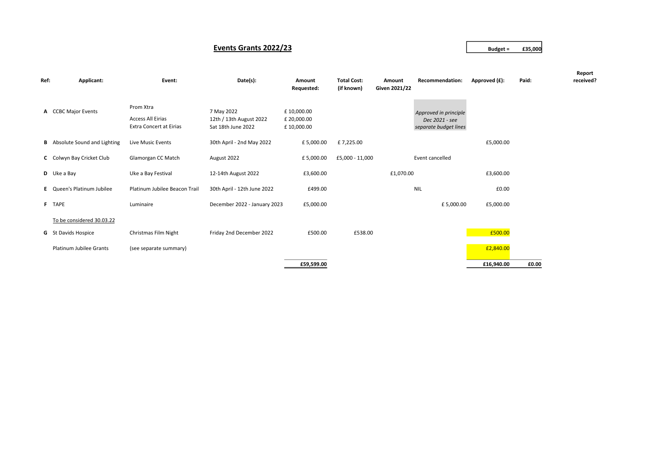#### **Events Grants 2022/23 Budget = £35,000**

| Ref: | Applicant:                           | Event:                                                                  | Date(s):                                                    | Amount<br>Requested:                    | <b>Total Cost:</b><br>(if known) | Amount<br>Given 2021/22 | <b>Recommendation:</b>                                           | Approved (£): | Paid: | Report<br>received? |
|------|--------------------------------------|-------------------------------------------------------------------------|-------------------------------------------------------------|-----------------------------------------|----------------------------------|-------------------------|------------------------------------------------------------------|---------------|-------|---------------------|
|      | A CCBC Major Events                  | Prom Xtra<br><b>Access All Eirias</b><br><b>Extra Concert at Eirias</b> | 7 May 2022<br>12th / 13th August 2022<br>Sat 18th June 2022 | £10,000.00<br>£ 20,000.00<br>£10,000.00 |                                  |                         | Approved in principle<br>Dec 2021 - see<br>separate budget lines |               |       |                     |
|      | <b>B</b> Absolute Sound and Lighting | Live Music Events                                                       | 30th April - 2nd May 2022                                   | £5,000.00                               | £7,225.00                        |                         |                                                                  | £5,000.00     |       |                     |
|      | C Colwyn Bay Cricket Club            | Glamorgan CC Match                                                      | August 2022                                                 | £5,000.00                               | £5,000 - 11,000                  |                         | Event cancelled                                                  |               |       |                     |
|      | <b>D</b> Uke a Bay                   | Uke a Bay Festival                                                      | 12-14th August 2022                                         | £3,600.00                               |                                  | £1,070.00               |                                                                  | £3,600.00     |       |                     |
|      | E Queen's Platinum Jubilee           | Platinum Jubilee Beacon Trail                                           | 30th April - 12th June 2022                                 | £499.00                                 |                                  |                         | <b>NIL</b>                                                       | £0.00         |       |                     |
|      | F TAPE                               | Luminaire                                                               | December 2022 - January 2023                                | £5,000.00                               |                                  |                         | £5,000.00                                                        | £5,000.00     |       |                     |
|      | To be considered 30.03.22            |                                                                         |                                                             |                                         |                                  |                         |                                                                  |               |       |                     |
|      | <b>G</b> St Davids Hospice           | Christmas Film Night                                                    | Friday 2nd December 2022                                    | £500.00                                 | £538.00                          |                         |                                                                  | £500.00       |       |                     |
|      | <b>Platinum Jubilee Grants</b>       | (see separate summary)                                                  |                                                             |                                         |                                  |                         |                                                                  | £2,840.00     |       |                     |
|      |                                      |                                                                         |                                                             | £59,599.00                              |                                  |                         |                                                                  | £16,940.00    | £0.00 |                     |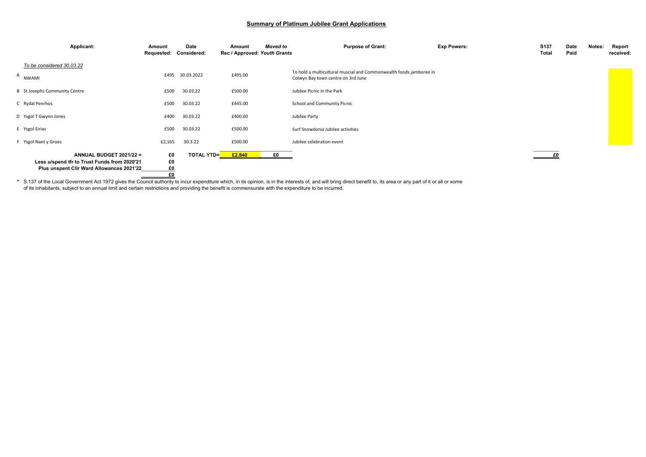#### **Summary of Platinum Jubilee Grant Applications**

| Applicant:                                                                                                           | Amount<br>Requested: Considered: | Date                      | Amount<br>Rec / Approved: Youth Grants | Moved to | <b>Purpose of Grant:</b>                                                                                 | <b>Exp Powers:</b> | <b>S137</b><br><b>Total</b> | Date<br>Paid | Notes: | Report<br>received: |
|----------------------------------------------------------------------------------------------------------------------|----------------------------------|---------------------------|----------------------------------------|----------|----------------------------------------------------------------------------------------------------------|--------------------|-----------------------------|--------------|--------|---------------------|
| To be considered 30.03.22                                                                                            |                                  |                           |                                        |          |                                                                                                          |                    |                             |              |        |                     |
| A NWAMI                                                                                                              | £495                             | 30.03.2022                | £495.00                                |          | To hold a multicultural muscial and Commonwealth foods jamboree in<br>Colwyn Bay town centre on 3rd June |                    |                             |              |        |                     |
| <b>B</b> St Josephs Community Centre                                                                                 | £500                             | 30.03.22                  | £500.00                                |          | Jubilee Picnic in the Park                                                                               |                    |                             |              |        |                     |
| C Rydal Penrhos                                                                                                      | £500                             | 30.03.22                  | £445.00                                |          | School and Community Picnic                                                                              |                    |                             |              |        |                     |
| D Ysgol T Gwynn Jones                                                                                                | £400                             | 30.03.22                  | £400.00                                |          | Jubilee Party                                                                                            |                    |                             |              |        |                     |
| E Ysgol Eirias                                                                                                       | £500                             | 30.03.22                  | £500.00                                |          | Surf Snowdonia Jubilee activities                                                                        |                    |                             |              |        |                     |
| F Ysgol Nant y Groes                                                                                                 | £2,165                           | 30.3.22                   | £500.00                                |          | Jubilee celebration event                                                                                |                    |                             |              |        |                     |
| ANNUAL BUDGET 2021/22 =<br>Less u/spend tfr to Trust Funds from 2020'21<br>Plus unspent Clir Ward Allowances 2021'22 | £0<br>£O<br>E0<br>£0             | TOTAL YTD= <mark>_</mark> | £2,840                                 | £0       |                                                                                                          |                    | <u>eo</u>                   |              |        |                     |

**\*** S.137 of the Local Government Act 1972 gives the Council authority to incur expenditure which, in its opinion, is in the interests of, and will bring direct benefit to, its area or any part of it or all or some of its inhabitants, subject to an annual limit and certain restrictions and providing the benefit is commensurate with the expenditure to be incurred.